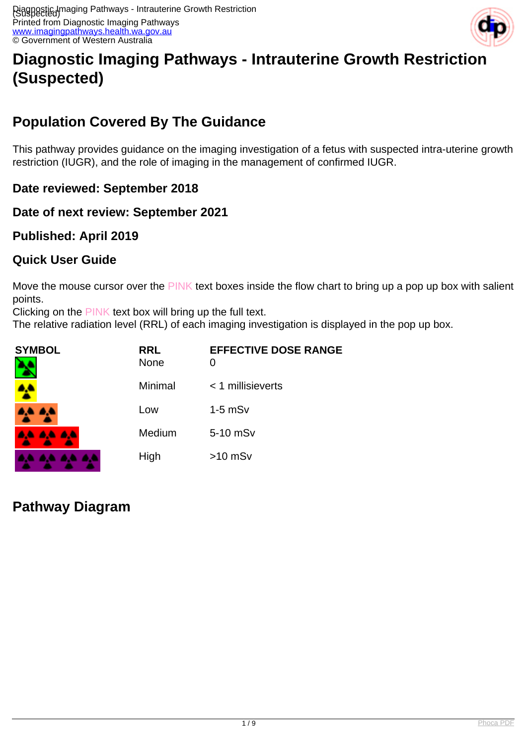

# **Diagnostic Imaging Pathways - Intrauterine Growth Restriction (Suspected)**

## **Population Covered By The Guidance**

This pathway provides guidance on the imaging investigation of a fetus with suspected intra-uterine growth restriction (IUGR), and the role of imaging in the management of confirmed IUGR.

**Date reviewed: September 2018**

### **Date of next review: September 2021**

### **Published: April 2019**

### **Quick User Guide**

Move the mouse cursor over the PINK text boxes inside the flow chart to bring up a pop up box with salient points.

Clicking on the PINK text box will bring up the full text.

The relative radiation level (RRL) of each imaging investigation is displayed in the pop up box.

| <b>SYMBOL</b> | <b>RRL</b><br>None | <b>EFFECTIVE DOSE RANGE</b><br>0 |
|---------------|--------------------|----------------------------------|
|               | Minimal            | $<$ 1 millisieverts              |
| 8.E           | Low                | $1-5$ mS $v$                     |
| 4444          | Medium             | 5-10 mSv                         |
|               | High               | $>10$ mSv                        |

## **Pathway Diagram**

. . . .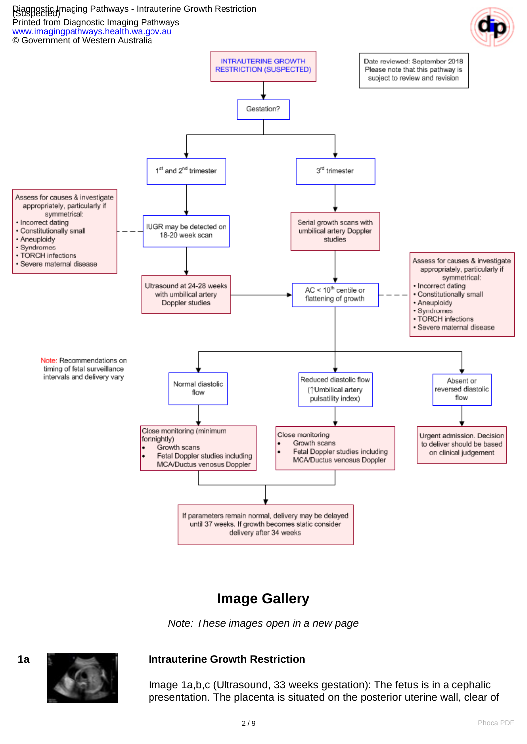

### **Image Gallery**





### **1a Intrauterine Growth Restriction**

Image 1a,b,c (Ultrasound, 33 weeks gestation): The fetus is in a cephalic presentation. The placenta is situated on the posterior uterine wall, clear of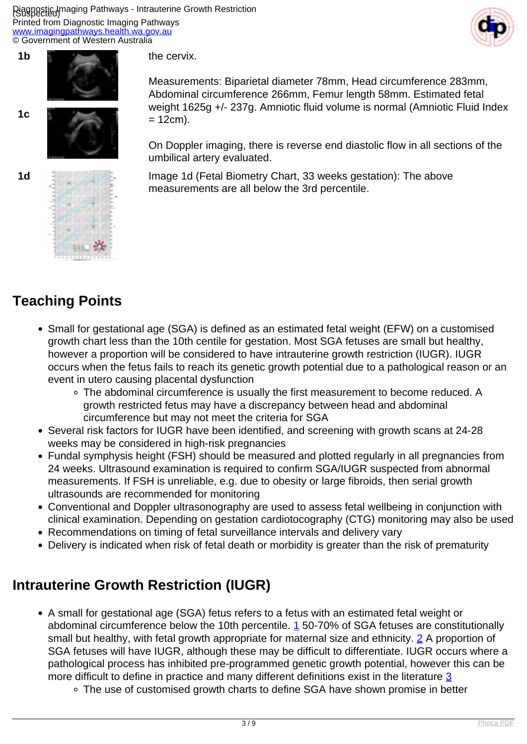Piagnostic Imaging Pathways - Intrauterine Growth Restriction Printed from Diagnostic Imaging Pathways [www.imagingpathways.health.wa.gov.au](http://www.imagingpathways.health.wa.gov.au/) © Government of Western Australia





Abdominal circumference 266mm, Femur length 58mm. Estimated fetal weight 1625g +/- 237g. Amniotic fluid volume is normal (Amniotic Fluid Index  $= 12$ cm).

the cervix.

On Doppler imaging, there is reverse end diastolic flow in all sections of the umbilical artery evaluated.

Measurements: Biparietal diameter 78mm, Head circumference 283mm,

**1d Image 1d** (Fetal Biometry Chart, 33 weeks gestation): The above measurements are all below the 3rd percentile.

## **Teaching Points**

- Small for gestational age (SGA) is defined as an estimated fetal weight (EFW) on a customised growth chart less than the 10th centile for gestation. Most SGA fetuses are small but healthy, however a proportion will be considered to have intrauterine growth restriction (IUGR). IUGR occurs when the fetus fails to reach its genetic growth potential due to a pathological reason or an event in utero causing placental dysfunction
	- The abdominal circumference is usually the first measurement to become reduced. A growth restricted fetus may have a discrepancy between head and abdominal circumference but may not meet the criteria for SGA
- Several risk factors for IUGR have been identified, and screening with growth scans at 24-28 weeks may be considered in high-risk pregnancies
- Fundal symphysis height (FSH) should be measured and plotted regularly in all pregnancies from 24 weeks. Ultrasound examination is required to confirm SGA/IUGR suspected from abnormal measurements. If FSH is unreliable, e.g. due to obesity or large fibroids, then serial growth ultrasounds are recommended for monitoring
- Conventional and Doppler ultrasonography are used to assess fetal wellbeing in conjunction with clinical examination. Depending on gestation cardiotocography (CTG) monitoring may also be used
- Recommendations on timing of fetal surveillance intervals and delivery vary
- Delivery is indicated when risk of fetal death or morbidity is greater than the risk of prematurity

## **Intrauterine Growth Restriction (IUGR)**

- A small for gestational age (SGA) fetus refers to a fetus with an estimated fetal weight or abdominal circumference below the [1](index.php?option=com_content&view=article&id=173&tab=references#1)0th percentile. 1 50-70% of SGA fetuses are constitutionally small but healthy, with fetal growth appropriate for maternal size and ethnicity. [2](index.php?option=com_content&view=article&id=173&tab=references#2) A proportion of SGA fetuses will have IUGR, although these may be difficult to differentiate. IUGR occurs where a pathological process has inhibited pre-programmed genetic growth potential, however this can be more difficult to define in practice and many different definitions exist in the literature [3](index.php?option=com_content&view=article&id=173&tab=references#3)
	- The use of customised growth charts to define SGA have shown promise in better

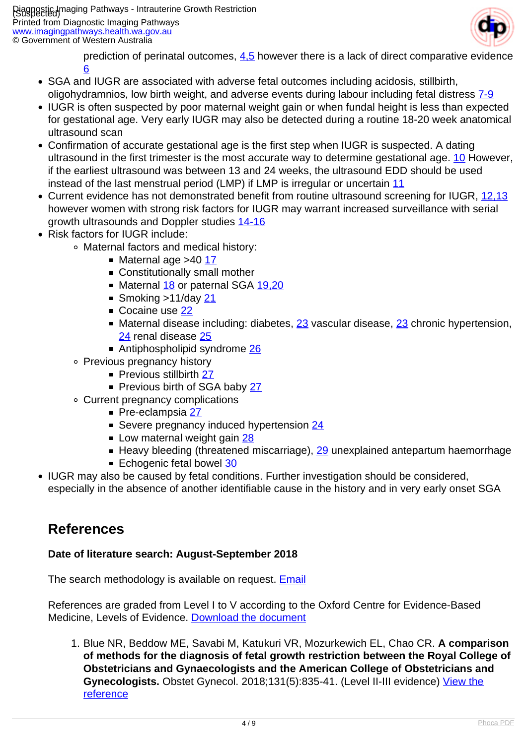

prediction of perinatal outcomes,  $4.5$  however there is a lack of direct comparative evidence [6](index.php?option=com_content&view=article&id=173&tab=references#6)

- SGA and IUGR are associated with adverse fetal outcomes including acidosis, stillbirth, oligohydramnios, low birth weight, and adverse events during labour including fetal distress [7-9](index.php?option=com_content&view=article&id=173&tab=references#7)
- IUGR is often suspected by poor maternal weight gain or when fundal height is less than expected for gestational age. Very early IUGR may also be detected during a routine 18-20 week anatomical ultrasound scan
- Confirmation of accurate gestational age is the first step when IUGR is suspected. A dating ultrasound in the first trimester is the most accurate way to determine gestational age. [10](index.php?option=com_content&view=article&id=173&tab=references#10) However, if the earliest ultrasound was between 13 and 24 weeks, the ultrasound EDD should be used instead of the last menstrual period (LMP) if LMP is irregular or uncertain [11](index.php?option=com_content&view=article&id=173&tab=references#11)
- Current evidence has not demonstrated benefit from routine ultrasound screening for IUGR, [12,13](index.php?option=com_content&view=article&id=173&tab=references#12) however women with strong risk factors for IUGR may warrant increased surveillance with serial growth ultrasounds and Doppler studies [14-16](index.php?option=com_content&view=article&id=173&tab=references#14)
- Risk factors for IUGR include:
	- Maternal factors and medical history:
		- $\blacksquare$  Maternal age >40 [17](index.php?option=com_content&view=article&id=173&tab=references#17)
		- **Constitutionally small mother**
		- Maternal [18](index.php?option=com_content&view=article&id=173&tab=references#18) or paternal SGA [19,20](index.php?option=com_content&view=article&id=173&tab=references#19)
		- Smoking  $>11$ /day [21](index.php?option=com_content&view=article&id=173&tab=references#21)
		- Cocaine use [22](index.php?option=com_content&view=article&id=173&tab=references#22)
		- Maternal disease including: diabetes, [23](index.php?option=com_content&view=article&id=173&tab=references#23) vascular disease, [23](index.php?option=com_content&view=article&id=173&tab=references#23) chronic hypertension, [24](index.php?option=com_content&view=article&id=173&tab=references#24) renal disease [25](index.php?option=com_content&view=article&id=173&tab=references#25)
		- Antiphospholipid syndrome [26](index.php?option=com_content&view=article&id=173&tab=references#26)
	- Previous pregnancy history
		- **Previous stillbirth [27](index.php?option=com_content&view=article&id=173&tab=references#27)**
		- Previous birth of SGA baby [27](index.php?option=com_content&view=article&id=173&tab=references#27)
	- Current pregnancy complications
		- Pre-eclampsia [27](index.php?option=com_content&view=article&id=173&tab=references#27)
		- Severe pregnancy induced hypertension [24](index.php?option=com_content&view=article&id=173&tab=references#24)
		- Low maternal weight gain [28](index.php?option=com_content&view=article&id=173&tab=references#28)
		- $\blacksquare$  Heavy bleeding (threatened miscarriage),  $29$  unexplained antepartum haemorrhage
		- Echogenic fetal bowel [30](index.php?option=com_content&view=article&id=173&tab=references#30)
- IUGR may also be caused by fetal conditions. Further investigation should be considered,
- especially in the absence of another identifiable cause in the history and in very early onset SGA

## **References**

### **Date of literature search: August-September 2018**

The search methodology is available on request. **[Email](index.php/contact-us)** 

References are graded from Level I to V according to the Oxford Centre for Evidence-Based Medicine, Levels of Evidence. [Download the document](http://www.cebm.net/wp-content/uploads/2014/06/CEBM-Levels-of-Evidence-2.1.pdf)

1. Blue NR, Beddow ME, Savabi M, Katukuri VR, Mozurkewich EL, Chao CR. **A comparison of methods for the diagnosis of fetal growth restriction between the Royal College of Obstetricians and Gynaecologists and the American College of Obstetricians and Gynecologists.** Obstet Gynecol. 2018;131(5):835-41. (Level II-III evidence) [View the](https://www.ncbi.nlm.nih.gov/pubmed/29630011) [reference](https://www.ncbi.nlm.nih.gov/pubmed/29630011)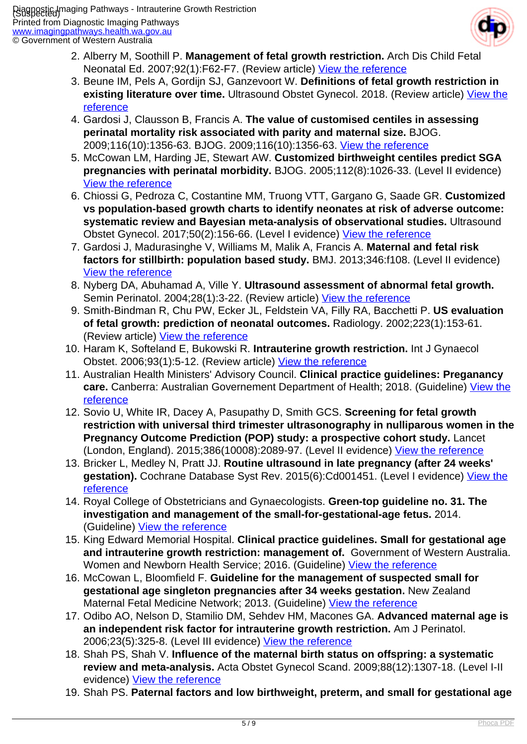

- 2. Alberry M, Soothill P. **Management of fetal growth restriction.** Arch Dis Child Fetal Neonatal Ed. 2007;92(1):F62-F7. (Review article) [View the reference](http://www.ncbi.nlm.nih.gov/pmc/articles/PMC2675309/)
- 3. Beune IM, Pels A, Gordijn SJ, Ganzevoort W. **Definitions of fetal growth restriction in existing literature over time.** Ultrasound Obstet Gynecol. 2018. (Review article) [View the](https://www.ncbi.nlm.nih.gov/pubmed/30079567) [reference](https://www.ncbi.nlm.nih.gov/pubmed/30079567)
- 4. Gardosi J, Clausson B, Francis A. **The value of customised centiles in assessing perinatal mortality risk associated with parity and maternal size.** BJOG. 2009;116(10):1356-63. BJOG. 2009;116(10):1356-63. [View the reference](https://www.ncbi.nlm.nih.gov/pubmed/19538413)
- 5. McCowan LM, Harding JE, Stewart AW. **Customized birthweight centiles predict SGA pregnancies with perinatal morbidity.** BJOG. 2005;112(8):1026-33. (Level II evidence) [View the reference](https://www.ncbi.nlm.nih.gov/pubmed/16045513)
- 6. Chiossi G, Pedroza C, Costantine MM, Truong VTT, Gargano G, Saade GR. **Customized vs population-based growth charts to identify neonates at risk of adverse outcome: systematic review and Bayesian meta-analysis of observational studies.** Ultrasound Obstet Gynecol. 2017;50(2):156-66. (Level I evidence) [View the reference](https://www.ncbi.nlm.nih.gov/pubmed/27935148)
- 7. Gardosi J, Madurasinghe V, Williams M, Malik A, Francis A. **Maternal and fetal risk factors for stillbirth: population based study.** BMJ. 2013;346:f108. (Level II evidence) [View the reference](https://www.ncbi.nlm.nih.gov/pubmed/23349424)
- 8. Nyberg DA, Abuhamad A, Ville Y. **Ultrasound assessment of abnormal fetal growth.** Semin Perinatol. 2004;28(1):3-22. (Review article) [View the reference](https://www.ncbi.nlm.nih.gov/pubmed/15058898)
- 9. Smith-Bindman R, Chu PW, Ecker JL, Feldstein VA, Filly RA, Bacchetti P. **US evaluation of fetal growth: prediction of neonatal outcomes.** Radiology. 2002;223(1):153-61. (Review article) [View the reference](https://www.ncbi.nlm.nih.gov/pubmed/11930060)
- 10. Haram K, Softeland E, Bukowski R. **Intrauterine growth restriction.** Int J Gynaecol Obstet. 2006;93(1):5-12. (Review article) [View the reference](https://www.ncbi.nlm.nih.gov/pubmed/16469319)
- 11. Australian Health Ministers' Advisory Council. **Clinical practice guidelines: Preganancy care.** Canberra: Australian Governement Department of Health; 2018. (Guideline) [View the](http://www.health.gov.au/internet/main/publishing.nsf/Content/pregnancycareguidelines) **[reference](http://www.health.gov.au/internet/main/publishing.nsf/Content/pregnancycareguidelines)**
- 12. Sovio U, White IR, Dacey A, Pasupathy D, Smith GCS. **Screening for fetal growth restriction with universal third trimester ultrasonography in nulliparous women in the Pregnancy Outcome Prediction (POP) study: a prospective cohort study.** Lancet (London, England). 2015;386(10008):2089-97. (Level II evidence) [View the reference](http://www.ncbi.nlm.nih.gov/pmc/articles/PMC4655320/)
- 13. Bricker L, Medley N, Pratt JJ. **Routine ultrasound in late pregnancy (after 24 weeks'** gestation). Cochrane Database Syst Rev. 2015(6):Cd001451. (Level I evidence) [View the](https://www.ncbi.nlm.nih.gov/pubmed/26121659) [reference](https://www.ncbi.nlm.nih.gov/pubmed/26121659)
- 14. Royal College of Obstetricians and Gynaecologists. **Green-top guideline no. 31. The investigation and management of the small-for-gestational-age fetus.** 2014. (Guideline) [View the reference](https://www.rcog.org.uk/en/guidelines-research-services/guidelines/gtg31/)
- 15. King Edward Memorial Hospital. **Clinical practice guidelines. Small for gestational age and intrauterine growth restriction: management of.** Government of Western Australia. Women and Newborn Health Service; 2016. (Guideline) [View the reference](https://kemh.health.wa.gov.au/For-health-professionals/Clinical-guidelines)
- 16. McCowan L, Bloomfield F. **Guideline for the management of suspected small for gestational age singleton pregnancies after 34 weeks gestation.** New Zealand Maternal Fetal Medicine Network; 2013. (Guideline) [View the reference](https://www.asum.com.au/wp-content/uploads/2015/09/NZMFM-SGA-Guideline-September-2013.pdf)
- 17. Odibo AO, Nelson D, Stamilio DM, Sehdev HM, Macones GA. **Advanced maternal age is an independent risk factor for intrauterine growth restriction.** Am J Perinatol. 2006;23(5):325-8. (Level III evidence) [View the reference](https://www.ncbi.nlm.nih.gov/pubmed/16799913)
- 18. Shah PS, Shah V. **Influence of the maternal birth status on offspring: a systematic review and meta-analysis.** Acta Obstet Gynecol Scand. 2009;88(12):1307-18. (Level I-II evidence) [View the reference](https://www.ncbi.nlm.nih.gov/pubmed/19916879)
- 19. Shah PS. **Paternal factors and low birthweight, preterm, and small for gestational age**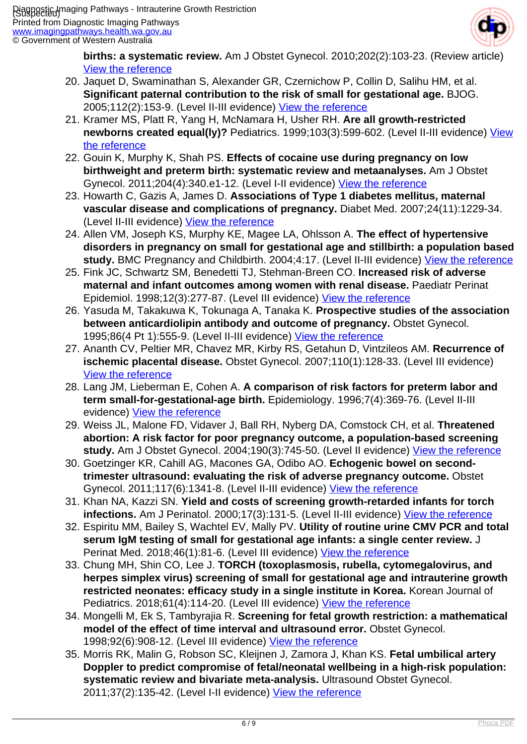

**births: a systematic review.** Am J Obstet Gynecol. 2010;202(2):103-23. (Review article) [View the reference](https://www.ncbi.nlm.nih.gov/pubmed/20113689)

- 20. Jaquet D, Swaminathan S, Alexander GR, Czernichow P, Collin D, Salihu HM, et al. **Significant paternal contribution to the risk of small for gestational age.** BJOG. 2005;112(2):153-9. (Level II-III evidence) [View the reference](https://www.ncbi.nlm.nih.gov/pubmed/15663578)
- 21. Kramer MS, Platt R, Yang H, McNamara H, Usher RH. **Are all growth-restricted newborns created equal(ly)?** Pediatrics. 1999;103(3):599-602. (Level II-III evidence) [View](https://www.ncbi.nlm.nih.gov/pubmed/10049963) [the reference](https://www.ncbi.nlm.nih.gov/pubmed/10049963)
- 22. Gouin K, Murphy K, Shah PS. **Effects of cocaine use during pregnancy on low birthweight and preterm birth: systematic review and metaanalyses.** Am J Obstet Gynecol. 2011;204(4):340.e1-12. (Level I-II evidence) [View the reference](https://www.ncbi.nlm.nih.gov/pubmed/21257143)
- 23. Howarth C, Gazis A, James D. **Associations of Type 1 diabetes mellitus, maternal vascular disease and complications of pregnancy.** Diabet Med. 2007;24(11):1229-34. (Level II-III evidence) [View the reference](https://www.ncbi.nlm.nih.gov/pubmed/17725628)
- 24. Allen VM, Joseph KS, Murphy KE, Magee LA, Ohlsson A. **The effect of hypertensive disorders in pregnancy on small for gestational age and stillbirth: a population based** study. BMC Pregnancy and Childbirth. 2004;4:17. (Level II-III evidence) [View the reference](http://www.ncbi.nlm.nih.gov/pmc/articles/PMC515178/)
- 25. Fink JC, Schwartz SM, Benedetti TJ, Stehman-Breen CO. **Increased risk of adverse maternal and infant outcomes among women with renal disease.** Paediatr Perinat Epidemiol. 1998;12(3):277-87. (Level III evidence) [View the reference](https://www.ncbi.nlm.nih.gov/pubmed/9690263)
- 26. Yasuda M, Takakuwa K, Tokunaga A, Tanaka K. **Prospective studies of the association between anticardiolipin antibody and outcome of pregnancy.** Obstet Gynecol. 1995;86(4 Pt 1):555-9. (Level II-III evidence) [View the reference](https://www.ncbi.nlm.nih.gov/pubmed/7675379)
- 27. Ananth CV, Peltier MR, Chavez MR, Kirby RS, Getahun D, Vintzileos AM. **Recurrence of ischemic placental disease.** Obstet Gynecol. 2007;110(1):128-33. (Level III evidence) [View the reference](https://www.ncbi.nlm.nih.gov/pubmed/17601907)
- 28. Lang JM, Lieberman E, Cohen A. **A comparison of risk factors for preterm labor and term small-for-gestational-age birth.** Epidemiology. 1996;7(4):369-76. (Level II-III evidence) [View the reference](https://www.ncbi.nlm.nih.gov/pubmed/8793362)
- 29. Weiss JL, Malone FD, Vidaver J, Ball RH, Nyberg DA, Comstock CH, et al. **Threatened abortion: A risk factor for poor pregnancy outcome, a population-based screening study.** Am J Obstet Gynecol. 2004;190(3):745-50. (Level II evidence) [View the reference](https://www.ncbi.nlm.nih.gov/pubmed/15042008)
- 30. Goetzinger KR, Cahill AG, Macones GA, Odibo AO. **Echogenic bowel on secondtrimester ultrasound: evaluating the risk of adverse pregnancy outcome.** Obstet Gynecol. 2011;117(6):1341-8. (Level II-III evidence) [View the reference](http://www.ncbi.nlm.nih.gov/pmc/articles/PMC3110147/)
- 31. Khan NA, Kazzi SN. **Yield and costs of screening growth-retarded infants for torch infections.** Am J Perinatol. 2000;17(3):131-5. (Level II-III evidence) [View the reference](https://www.ncbi.nlm.nih.gov/pubmed/11012137)
- 32. Espiritu MM, Bailey S, Wachtel EV, Mally PV. **Utility of routine urine CMV PCR and total serum IgM testing of small for gestational age infants: a single center review.** J Perinat Med. 2018;46(1):81-6. (Level III evidence) [View the reference](https://www.ncbi.nlm.nih.gov/pubmed/28803228)
- 33. Chung MH, Shin CO, Lee J. **TORCH (toxoplasmosis, rubella, cytomegalovirus, and herpes simplex virus) screening of small for gestational age and intrauterine growth restricted neonates: efficacy study in a single institute in Korea.** Korean Journal of Pediatrics. 2018;61(4):114-20. (Level III evidence) [View the reference](http://www.ncbi.nlm.nih.gov/pmc/articles/PMC5924842/)
- 34. Mongelli M, Ek S, Tambyrajia R. **Screening for fetal growth restriction: a mathematical model of the effect of time interval and ultrasound error.** Obstet Gynecol. 1998;92(6):908-12. (Level III evidence) [View the reference](https://www.ncbi.nlm.nih.gov/pubmed/9840547)
- 35. Morris RK, Malin G, Robson SC, Kleijnen J, Zamora J, Khan KS. **Fetal umbilical artery Doppler to predict compromise of fetal/neonatal wellbeing in a high-risk population: systematic review and bivariate meta-analysis.** Ultrasound Obstet Gynecol. 2011;37(2):135-42. (Level I-II evidence) [View the reference]( https://www.ncbi.nlm.nih.gov/pubmed/20922778)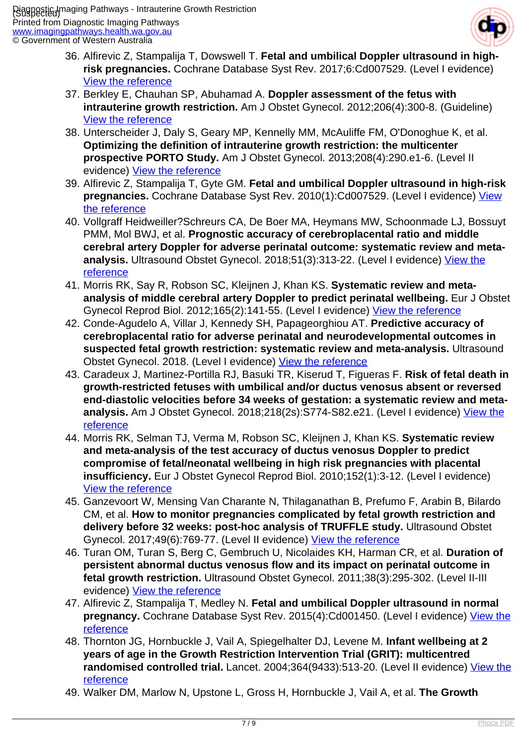

- 36. Alfirevic Z, Stampalija T, Dowswell T. **Fetal and umbilical Doppler ultrasound in highrisk pregnancies.** Cochrane Database Syst Rev. 2017;6:Cd007529. (Level I evidence) [View the reference](https://www.ncbi.nlm.nih.gov/pubmed/28613398)
- 37. Berkley E, Chauhan SP, Abuhamad A. **Doppler assessment of the fetus with intrauterine growth restriction.** Am J Obstet Gynecol. 2012;206(4):300-8. (Guideline) [View the reference](https://www.ncbi.nlm.nih.gov/pubmed/22464066)
- 38. Unterscheider J, Daly S, Geary MP, Kennelly MM, McAuliffe FM, O'Donoghue K, et al. **Optimizing the definition of intrauterine growth restriction: the multicenter prospective PORTO Study.** Am J Obstet Gynecol. 2013;208(4):290.e1-6. (Level II evidence) [View the reference](https://www.ncbi.nlm.nih.gov/pubmed/23531326)
- 39. Alfirevic Z, Stampalija T, Gyte GM. **Fetal and umbilical Doppler ultrasound in high-risk pregnancies.** Cochrane Database Syst Rev. 2010(1):Cd007529. (Level I evidence) [View](https://www.ncbi.nlm.nih.gov/pubmed/20091637) [the reference](https://www.ncbi.nlm.nih.gov/pubmed/20091637)
- 40. Vollgraff Heidweiller?Schreurs CA, De Boer MA, Heymans MW, Schoonmade LJ, Bossuyt PMM, Mol BWJ, et al. **Prognostic accuracy of cerebroplacental ratio and middle cerebral artery Doppler for adverse perinatal outcome: systematic review and metaanalysis.** Ultrasound Obstet Gynecol. 2018;51(3):313-22. (Level I evidence) [View the](http://www.ncbi.nlm.nih.gov/pmc/articles/PMC5873403/) [reference](http://www.ncbi.nlm.nih.gov/pmc/articles/PMC5873403/)
- 41. Morris RK, Say R, Robson SC, Kleijnen J, Khan KS. **Systematic review and metaanalysis of middle cerebral artery Doppler to predict perinatal wellbeing.** Eur J Obstet Gynecol Reprod Biol. 2012;165(2):141-55. (Level I evidence) [View the reference](https://www.ncbi.nlm.nih.gov/pubmed/22901972)
- 42. Conde-Agudelo A, Villar J, Kennedy SH, Papageorghiou AT. **Predictive accuracy of cerebroplacental ratio for adverse perinatal and neurodevelopmental outcomes in suspected fetal growth restriction: systematic review and meta-analysis.** Ultrasound Obstet Gynecol. 2018. (Level I evidence) [View the reference](https://www.ncbi.nlm.nih.gov/pubmed/29920817)
- 43. Caradeux J, Martinez-Portilla RJ, Basuki TR, Kiserud T, Figueras F. **Risk of fetal death in growth-restricted fetuses with umbilical and/or ductus venosus absent or reversed end-diastolic velocities before 34 weeks of gestation: a systematic review and metaanalysis.** Am J Obstet Gynecol. 2018;218(2s):S774-S82.e21. (Level I evidence) [View the](https://www.ncbi.nlm.nih.gov/pubmed/29233550) [reference](https://www.ncbi.nlm.nih.gov/pubmed/29233550)
- 44. Morris RK, Selman TJ, Verma M, Robson SC, Kleijnen J, Khan KS. **Systematic review and meta-analysis of the test accuracy of ductus venosus Doppler to predict compromise of fetal/neonatal wellbeing in high risk pregnancies with placental insufficiency.** Eur J Obstet Gynecol Reprod Biol. 2010;152(1):3-12. (Level I evidence) [View the reference](https://www.ncbi.nlm.nih.gov/pubmed/20493624)
- 45. Ganzevoort W, Mensing Van Charante N, Thilaganathan B, Prefumo F, Arabin B, Bilardo CM, et al. **How to monitor pregnancies complicated by fetal growth restriction and delivery before 32 weeks: post-hoc analysis of TRUFFLE study.** Ultrasound Obstet Gynecol. 2017;49(6):769-77. (Level II evidence) [View the reference](https://www.ncbi.nlm.nih.gov/pubmed/28182335)
- 46. Turan OM, Turan S, Berg C, Gembruch U, Nicolaides KH, Harman CR, et al. **Duration of persistent abnormal ductus venosus flow and its impact on perinatal outcome in fetal growth restriction.** Ultrasound Obstet Gynecol. 2011;38(3):295-302. (Level II-III evidence) [View the reference](https://www.ncbi.nlm.nih.gov/pubmed/21465604)
- 47. Alfirevic Z, Stampalija T, Medley N. **Fetal and umbilical Doppler ultrasound in normal pregnancy.** Cochrane Database Syst Rev. 2015(4):Cd001450. (Level I evidence) [View the](https://www.ncbi.nlm.nih.gov/pubmed/25874722) [reference](https://www.ncbi.nlm.nih.gov/pubmed/25874722)
- 48. Thornton JG, Hornbuckle J, Vail A, Spiegelhalter DJ, Levene M. **Infant wellbeing at 2 years of age in the Growth Restriction Intervention Trial (GRIT): multicentred** randomised controlled trial. Lancet. 2004;364(9433):513-20. (Level II evidence) [View the](https://www.thelancet.com/pdfs/journals/lancet/PIIS0140-6736(04)16809-8.pdf) **[reference](https://www.thelancet.com/pdfs/journals/lancet/PIIS0140-6736(04)16809-8.pdf)**
- 49. Walker DM, Marlow N, Upstone L, Gross H, Hornbuckle J, Vail A, et al. **The Growth**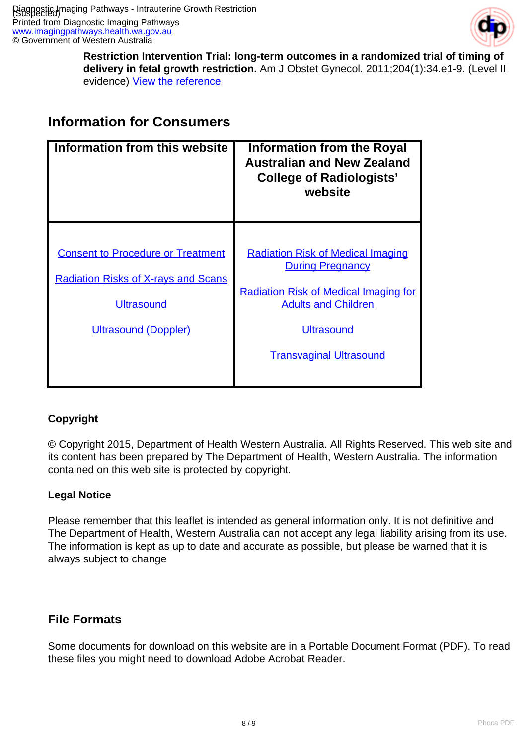

**Restriction Intervention Trial: long-term outcomes in a randomized trial of timing of delivery in fetal growth restriction.** Am J Obstet Gynecol. 2011;204(1):34.e1-9. (Level II evidence) [View the reference](https://www.ncbi.nlm.nih.gov/pubmed/21056403)

### **Information for Consumers**

| Information from this website                                                                                                       | <b>Information from the Royal</b><br><b>Australian and New Zealand</b><br><b>College of Radiologists'</b><br>website                                                                                     |
|-------------------------------------------------------------------------------------------------------------------------------------|----------------------------------------------------------------------------------------------------------------------------------------------------------------------------------------------------------|
| <b>Consent to Procedure or Treatment</b><br><b>Radiation Risks of X-rays and Scans</b><br><b>Ultrasound</b><br>Ultrasound (Doppler) | <b>Radiation Risk of Medical Imaging</b><br><b>During Pregnancy</b><br><b>Radiation Risk of Medical Imaging for</b><br><b>Adults and Children</b><br><b>Ultrasound</b><br><b>Transvaginal Ultrasound</b> |

#### **Copyright**

© Copyright 2015, Department of Health Western Australia. All Rights Reserved. This web site and its content has been prepared by The Department of Health, Western Australia. The information contained on this web site is protected by copyright.

#### **Legal Notice**

Please remember that this leaflet is intended as general information only. It is not definitive and The Department of Health, Western Australia can not accept any legal liability arising from its use. The information is kept as up to date and accurate as possible, but please be warned that it is always subject to change

### **File Formats**

Some documents for download on this website are in a Portable Document Format (PDF). To read these files you might need to download Adobe Acrobat Reader.